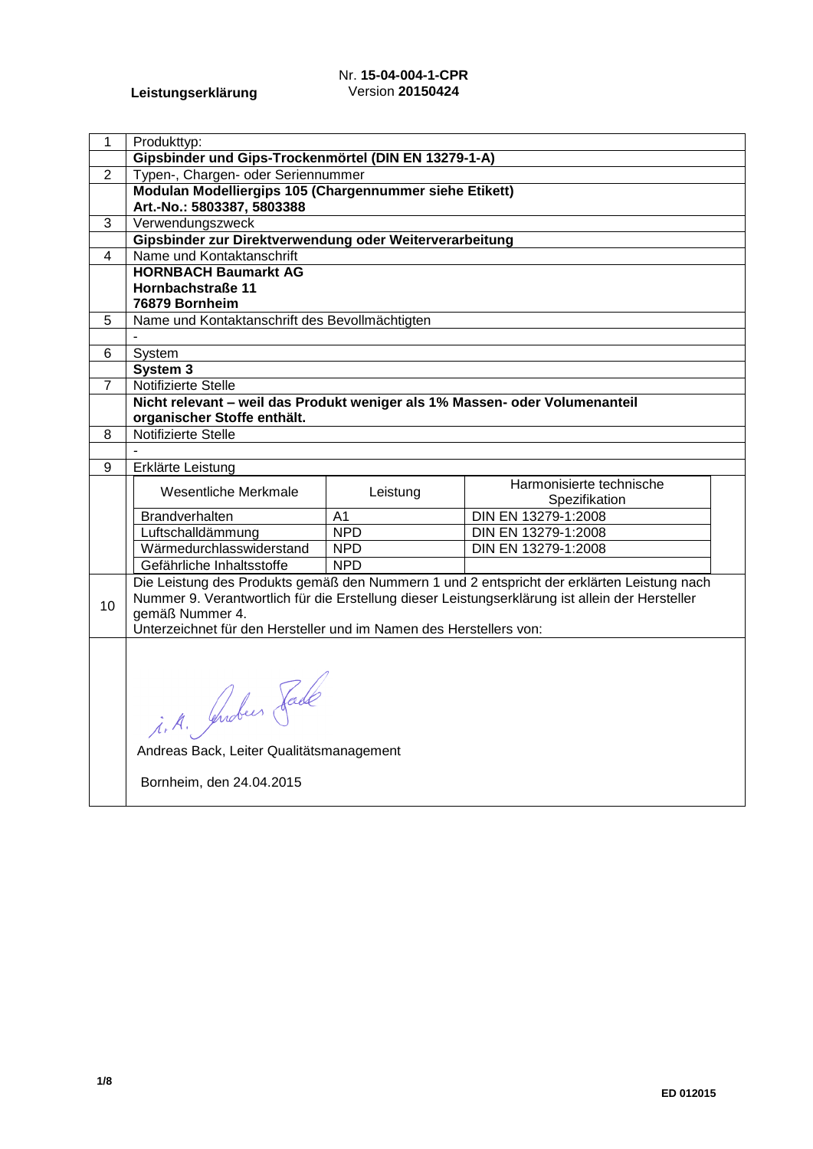## Nr. **15-04-004-1-CPR** Version **20150424**

| 1              | Produkttyp:                                                                 |                |                                                                                                 |  |  |
|----------------|-----------------------------------------------------------------------------|----------------|-------------------------------------------------------------------------------------------------|--|--|
|                | Gipsbinder und Gips-Trockenmörtel (DIN EN 13279-1-A)                        |                |                                                                                                 |  |  |
| $\overline{2}$ | Typen-, Chargen- oder Seriennummer                                          |                |                                                                                                 |  |  |
|                | Modulan Modelliergips 105 (Chargennummer siehe Etikett)                     |                |                                                                                                 |  |  |
|                | Art.-No.: 5803387, 5803388                                                  |                |                                                                                                 |  |  |
| 3              | Verwendungszweck                                                            |                |                                                                                                 |  |  |
|                | Gipsbinder zur Direktverwendung oder Weiterverarbeitung                     |                |                                                                                                 |  |  |
| 4              | Name und Kontaktanschrift                                                   |                |                                                                                                 |  |  |
|                | <b>HORNBACH Baumarkt AG</b>                                                 |                |                                                                                                 |  |  |
|                | Hornbachstraße 11                                                           |                |                                                                                                 |  |  |
|                | 76879 Bornheim                                                              |                |                                                                                                 |  |  |
| 5              | Name und Kontaktanschrift des Bevollmächtigten                              |                |                                                                                                 |  |  |
|                |                                                                             |                |                                                                                                 |  |  |
| 6              | System                                                                      |                |                                                                                                 |  |  |
|                | System 3                                                                    |                |                                                                                                 |  |  |
| $\overline{7}$ | Notifizierte Stelle                                                         |                |                                                                                                 |  |  |
|                | Nicht relevant - weil das Produkt weniger als 1% Massen- oder Volumenanteil |                |                                                                                                 |  |  |
|                | organischer Stoffe enthält.                                                 |                |                                                                                                 |  |  |
| 8              | Notifizierte Stelle                                                         |                |                                                                                                 |  |  |
|                |                                                                             |                |                                                                                                 |  |  |
| 9              | Erklärte Leistung                                                           |                |                                                                                                 |  |  |
|                | Wesentliche Merkmale                                                        | Leistung       | Harmonisierte technische                                                                        |  |  |
|                | Brandverhalten                                                              | A <sub>1</sub> | Spezifikation<br>DIN EN 13279-1:2008                                                            |  |  |
|                | Luftschalldämmung                                                           | <b>NPD</b>     | DIN EN 13279-1:2008                                                                             |  |  |
|                | Wärmedurchlasswiderstand                                                    | <b>NPD</b>     | DIN EN 13279-1:2008                                                                             |  |  |
|                | Gefährliche Inhaltsstoffe                                                   | <b>NPD</b>     |                                                                                                 |  |  |
|                |                                                                             |                | Die Leistung des Produkts gemäß den Nummern 1 und 2 entspricht der erklärten Leistung nach      |  |  |
|                |                                                                             |                | Nummer 9. Verantwortlich für die Erstellung dieser Leistungserklärung ist allein der Hersteller |  |  |
| 10             | gemäß Nummer 4.                                                             |                |                                                                                                 |  |  |
|                | Unterzeichnet für den Hersteller und im Namen des Herstellers von:          |                |                                                                                                 |  |  |
|                |                                                                             |                |                                                                                                 |  |  |
|                |                                                                             |                |                                                                                                 |  |  |
|                |                                                                             |                |                                                                                                 |  |  |
|                |                                                                             |                |                                                                                                 |  |  |
|                |                                                                             |                |                                                                                                 |  |  |
|                | i.A. Juden Fade                                                             |                |                                                                                                 |  |  |
|                |                                                                             |                |                                                                                                 |  |  |
|                | Andreas Back, Leiter Qualitätsmanagement                                    |                |                                                                                                 |  |  |
|                | Bornheim, den 24.04.2015                                                    |                |                                                                                                 |  |  |
|                |                                                                             |                |                                                                                                 |  |  |
|                |                                                                             |                |                                                                                                 |  |  |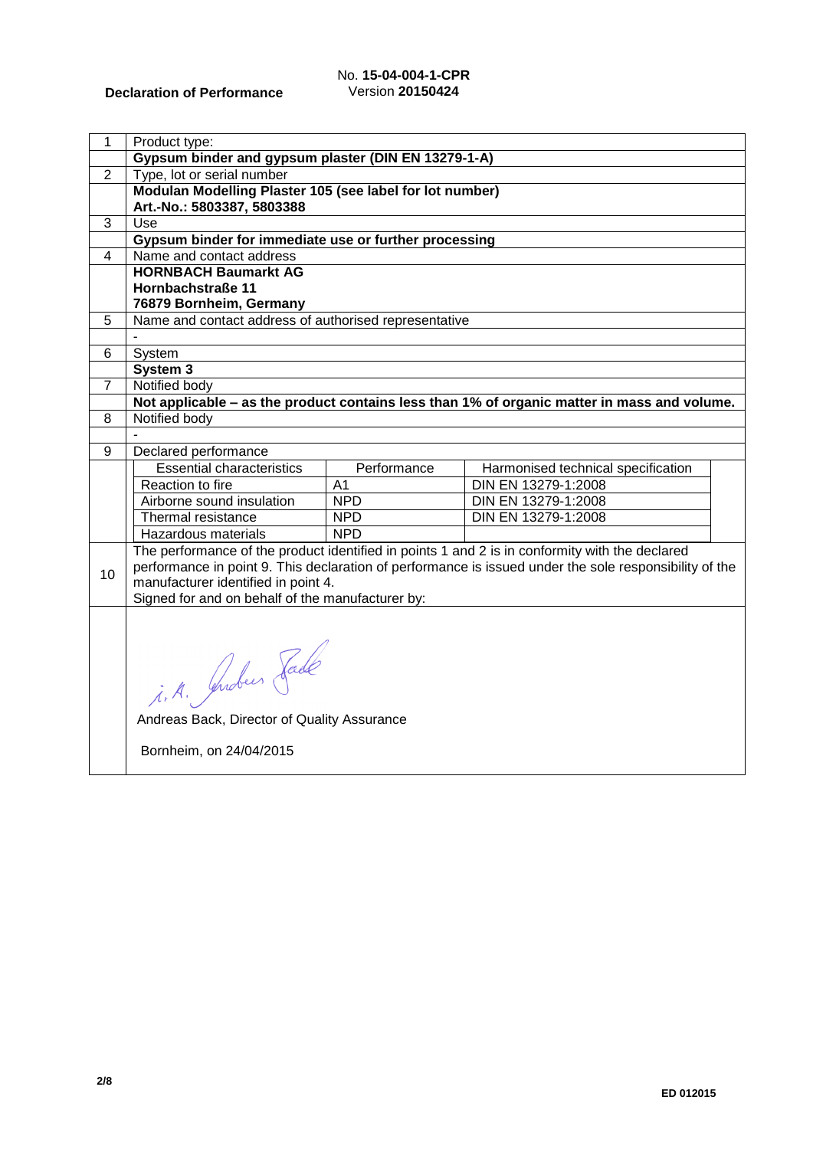## No. **15-04-004-1-CPR** Version **20150424**

| 1              | Product type:                                            |             |                                                                                                        |  |  |
|----------------|----------------------------------------------------------|-------------|--------------------------------------------------------------------------------------------------------|--|--|
|                | Gypsum binder and gypsum plaster (DIN EN 13279-1-A)      |             |                                                                                                        |  |  |
| $\overline{2}$ | Type, lot or serial number                               |             |                                                                                                        |  |  |
|                | Modulan Modelling Plaster 105 (see label for lot number) |             |                                                                                                        |  |  |
|                | Art.-No.: 5803387, 5803388                               |             |                                                                                                        |  |  |
| 3              | Use                                                      |             |                                                                                                        |  |  |
|                | Gypsum binder for immediate use or further processing    |             |                                                                                                        |  |  |
| $\overline{4}$ | Name and contact address                                 |             |                                                                                                        |  |  |
|                | <b>HORNBACH Baumarkt AG</b>                              |             |                                                                                                        |  |  |
|                | Hornbachstraße 11                                        |             |                                                                                                        |  |  |
|                | 76879 Bornheim, Germany                                  |             |                                                                                                        |  |  |
| 5              | Name and contact address of authorised representative    |             |                                                                                                        |  |  |
|                |                                                          |             |                                                                                                        |  |  |
| 6              | System                                                   |             |                                                                                                        |  |  |
|                | System 3                                                 |             |                                                                                                        |  |  |
| 7              | Notified body                                            |             | Not applicable - as the product contains less than 1% of organic matter in mass and volume.            |  |  |
|                | Notified body                                            |             |                                                                                                        |  |  |
| 8              |                                                          |             |                                                                                                        |  |  |
| 9              | Declared performance                                     |             |                                                                                                        |  |  |
|                | <b>Essential characteristics</b>                         | Performance | Harmonised technical specification                                                                     |  |  |
|                | Reaction to fire                                         | A1          | DIN EN 13279-1:2008                                                                                    |  |  |
|                | Airborne sound insulation                                | <b>NPD</b>  | DIN EN 13279-1:2008                                                                                    |  |  |
|                | Thermal resistance                                       | <b>NPD</b>  | DIN EN 13279-1:2008                                                                                    |  |  |
|                | Hazardous materials                                      | <b>NPD</b>  |                                                                                                        |  |  |
|                |                                                          |             | The performance of the product identified in points 1 and 2 is in conformity with the declared         |  |  |
|                |                                                          |             | performance in point 9. This declaration of performance is issued under the sole responsibility of the |  |  |
| 10             | manufacturer identified in point 4.                      |             |                                                                                                        |  |  |
|                | Signed for and on behalf of the manufacturer by:         |             |                                                                                                        |  |  |
|                |                                                          |             |                                                                                                        |  |  |
|                |                                                          |             |                                                                                                        |  |  |
|                |                                                          |             |                                                                                                        |  |  |
|                |                                                          |             |                                                                                                        |  |  |
|                |                                                          |             |                                                                                                        |  |  |
|                | i. A. Juden Fade                                         |             |                                                                                                        |  |  |
|                | Andreas Back, Director of Quality Assurance              |             |                                                                                                        |  |  |
|                |                                                          |             |                                                                                                        |  |  |
|                | Bornheim, on 24/04/2015                                  |             |                                                                                                        |  |  |
|                |                                                          |             |                                                                                                        |  |  |
|                |                                                          |             |                                                                                                        |  |  |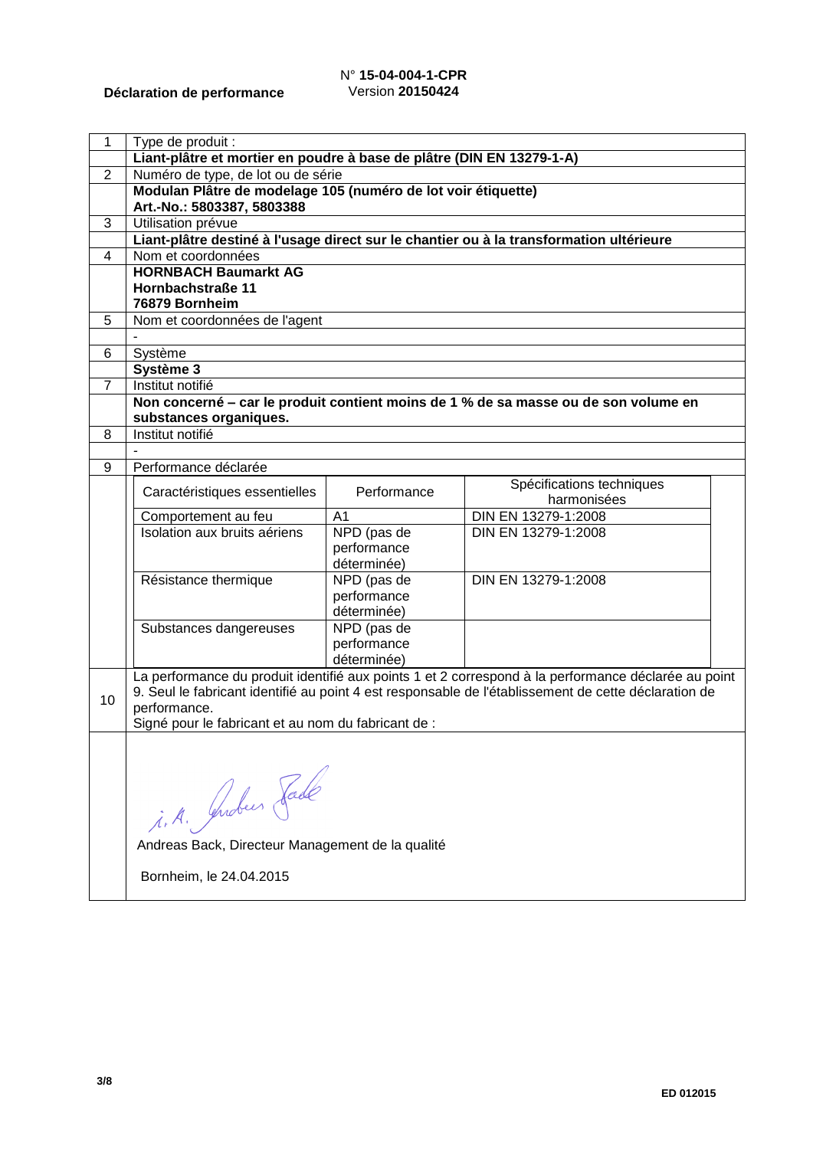## N° **15-04-004-1-CPR** Version **20150424**

| $\mathbf{1}$   | Type de produit :                                                     |                |                                                                                                                                                                                                             |  |
|----------------|-----------------------------------------------------------------------|----------------|-------------------------------------------------------------------------------------------------------------------------------------------------------------------------------------------------------------|--|
|                | Liant-plâtre et mortier en poudre à base de plâtre (DIN EN 13279-1-A) |                |                                                                                                                                                                                                             |  |
| $\overline{2}$ | Numéro de type, de lot ou de série                                    |                |                                                                                                                                                                                                             |  |
|                | Modulan Plâtre de modelage 105 (numéro de lot voir étiquette)         |                |                                                                                                                                                                                                             |  |
|                | Art.-No.: 5803387, 5803388                                            |                |                                                                                                                                                                                                             |  |
| 3              | Utilisation prévue                                                    |                |                                                                                                                                                                                                             |  |
|                |                                                                       |                | Liant-plâtre destiné à l'usage direct sur le chantier ou à la transformation ultérieure                                                                                                                     |  |
| $\overline{4}$ | Nom et coordonnées                                                    |                |                                                                                                                                                                                                             |  |
|                | <b>HORNBACH Baumarkt AG</b>                                           |                |                                                                                                                                                                                                             |  |
|                | Hornbachstraße 11<br>76879 Bornheim                                   |                |                                                                                                                                                                                                             |  |
|                |                                                                       |                |                                                                                                                                                                                                             |  |
| 5              | Nom et coordonnées de l'agent                                         |                |                                                                                                                                                                                                             |  |
| 6              | Système                                                               |                |                                                                                                                                                                                                             |  |
|                | Système 3                                                             |                |                                                                                                                                                                                                             |  |
| $\overline{7}$ | Institut notifié                                                      |                |                                                                                                                                                                                                             |  |
|                |                                                                       |                | Non concerné – car le produit contient moins de 1 % de sa masse ou de son volume en                                                                                                                         |  |
|                | substances organiques.                                                |                |                                                                                                                                                                                                             |  |
| 8              | Institut notifié                                                      |                |                                                                                                                                                                                                             |  |
|                |                                                                       |                |                                                                                                                                                                                                             |  |
| 9              | Performance déclarée                                                  |                |                                                                                                                                                                                                             |  |
|                |                                                                       |                | Spécifications techniques                                                                                                                                                                                   |  |
|                | Caractéristiques essentielles                                         | Performance    | harmonisées                                                                                                                                                                                                 |  |
|                | Comportement au feu                                                   | A <sub>1</sub> | DIN EN 13279-1:2008                                                                                                                                                                                         |  |
|                | Isolation aux bruits aériens                                          | NPD (pas de    | DIN EN 13279-1:2008                                                                                                                                                                                         |  |
|                |                                                                       | performance    |                                                                                                                                                                                                             |  |
|                |                                                                       | déterminée)    |                                                                                                                                                                                                             |  |
|                | Résistance thermique                                                  | NPD (pas de    | DIN EN 13279-1:2008                                                                                                                                                                                         |  |
|                |                                                                       | performance    |                                                                                                                                                                                                             |  |
|                |                                                                       | déterminée)    |                                                                                                                                                                                                             |  |
|                | Substances dangereuses                                                | NPD (pas de    |                                                                                                                                                                                                             |  |
|                |                                                                       | performance    |                                                                                                                                                                                                             |  |
|                |                                                                       | déterminée)    |                                                                                                                                                                                                             |  |
|                |                                                                       |                | La performance du produit identifié aux points 1 et 2 correspond à la performance déclarée au point<br>9. Seul le fabricant identifié au point 4 est responsable de l'établissement de cette déclaration de |  |
| 10             | performance.                                                          |                |                                                                                                                                                                                                             |  |
|                | Signé pour le fabricant et au nom du fabricant de :                   |                |                                                                                                                                                                                                             |  |
|                |                                                                       |                |                                                                                                                                                                                                             |  |
|                |                                                                       |                |                                                                                                                                                                                                             |  |
|                |                                                                       |                |                                                                                                                                                                                                             |  |
|                |                                                                       |                |                                                                                                                                                                                                             |  |
|                |                                                                       |                |                                                                                                                                                                                                             |  |
|                |                                                                       |                |                                                                                                                                                                                                             |  |
|                | i. A. Juden Fade                                                      |                |                                                                                                                                                                                                             |  |
|                | Andreas Back, Directeur Management de la qualité                      |                |                                                                                                                                                                                                             |  |
|                | Bornheim, le 24.04.2015                                               |                |                                                                                                                                                                                                             |  |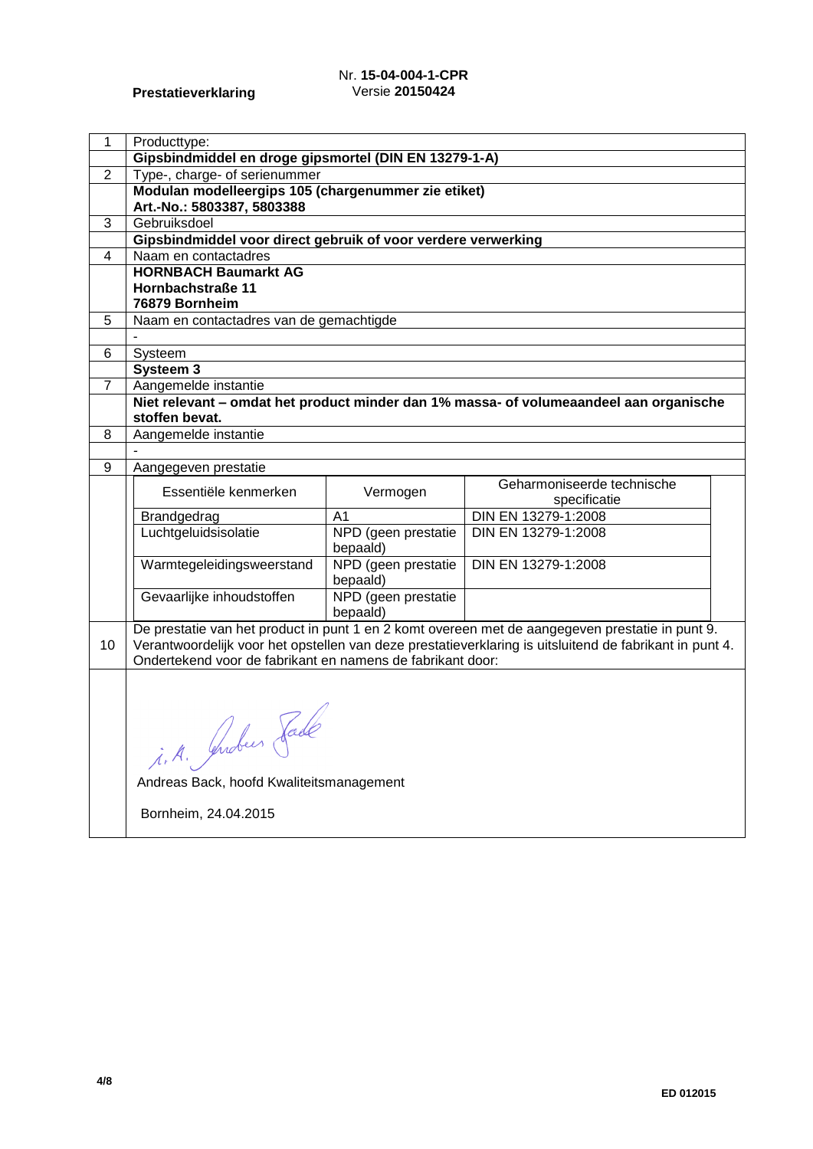## Nr. **15-04-004-1-CPR** Versie **20150424**

| 1              | Producttype:                                                  |                                 |                                                                                                         |  |
|----------------|---------------------------------------------------------------|---------------------------------|---------------------------------------------------------------------------------------------------------|--|
|                | Gipsbindmiddel en droge gipsmortel (DIN EN 13279-1-A)         |                                 |                                                                                                         |  |
| $\overline{2}$ | Type-, charge- of serienummer                                 |                                 |                                                                                                         |  |
|                | Modulan modelleergips 105 (chargenummer zie etiket)           |                                 |                                                                                                         |  |
|                | Art.-No.: 5803387, 5803388                                    |                                 |                                                                                                         |  |
| 3              | Gebruiksdoel                                                  |                                 |                                                                                                         |  |
|                | Gipsbindmiddel voor direct gebruik of voor verdere verwerking |                                 |                                                                                                         |  |
| 4              | Naam en contactadres                                          |                                 |                                                                                                         |  |
|                | <b>HORNBACH Baumarkt AG</b>                                   |                                 |                                                                                                         |  |
|                | Hornbachstraße 11                                             |                                 |                                                                                                         |  |
|                | 76879 Bornheim                                                |                                 |                                                                                                         |  |
| 5              | Naam en contactadres van de gemachtigde                       |                                 |                                                                                                         |  |
| 6              |                                                               |                                 |                                                                                                         |  |
|                | Systeem<br>Systeem 3                                          |                                 |                                                                                                         |  |
| $\mathbf{7}$   | Aangemelde instantie                                          |                                 |                                                                                                         |  |
|                |                                                               |                                 | Niet relevant - omdat het product minder dan 1% massa- of volumeaandeel aan organische                  |  |
|                | stoffen bevat.                                                |                                 |                                                                                                         |  |
| 8              | Aangemelde instantie                                          |                                 |                                                                                                         |  |
|                |                                                               |                                 |                                                                                                         |  |
| 9              | Aangegeven prestatie                                          |                                 |                                                                                                         |  |
|                | Essentiële kenmerken                                          | Vermogen                        | Geharmoniseerde technische                                                                              |  |
|                |                                                               |                                 | specificatie                                                                                            |  |
|                | Brandgedrag                                                   | A <sub>1</sub>                  | DIN EN 13279-1:2008                                                                                     |  |
|                | Luchtgeluidsisolatie                                          | NPD (geen prestatie             | DIN EN 13279-1:2008                                                                                     |  |
|                |                                                               | bepaald)                        |                                                                                                         |  |
|                | Warmtegeleidingsweerstand                                     | NPD (geen prestatie<br>bepaald) | DIN EN 13279-1:2008                                                                                     |  |
|                | Gevaarlijke inhoudstoffen                                     | NPD (geen prestatie             |                                                                                                         |  |
|                |                                                               | bepaald)                        |                                                                                                         |  |
|                |                                                               |                                 | De prestatie van het product in punt 1 en 2 komt overeen met de aangegeven prestatie in punt 9.         |  |
| 10             |                                                               |                                 | Verantwoordelijk voor het opstellen van deze prestatieverklaring is uitsluitend de fabrikant in punt 4. |  |
|                | Ondertekend voor de fabrikant en namens de fabrikant door:    |                                 |                                                                                                         |  |
|                |                                                               |                                 |                                                                                                         |  |
|                |                                                               |                                 |                                                                                                         |  |
|                |                                                               |                                 |                                                                                                         |  |
|                |                                                               |                                 |                                                                                                         |  |
|                |                                                               |                                 |                                                                                                         |  |
|                | i.A. Juden Fade                                               |                                 |                                                                                                         |  |
|                | Andreas Back, hoofd Kwaliteitsmanagement                      |                                 |                                                                                                         |  |
|                |                                                               |                                 |                                                                                                         |  |
|                | Bornheim, 24.04.2015                                          |                                 |                                                                                                         |  |
|                |                                                               |                                 |                                                                                                         |  |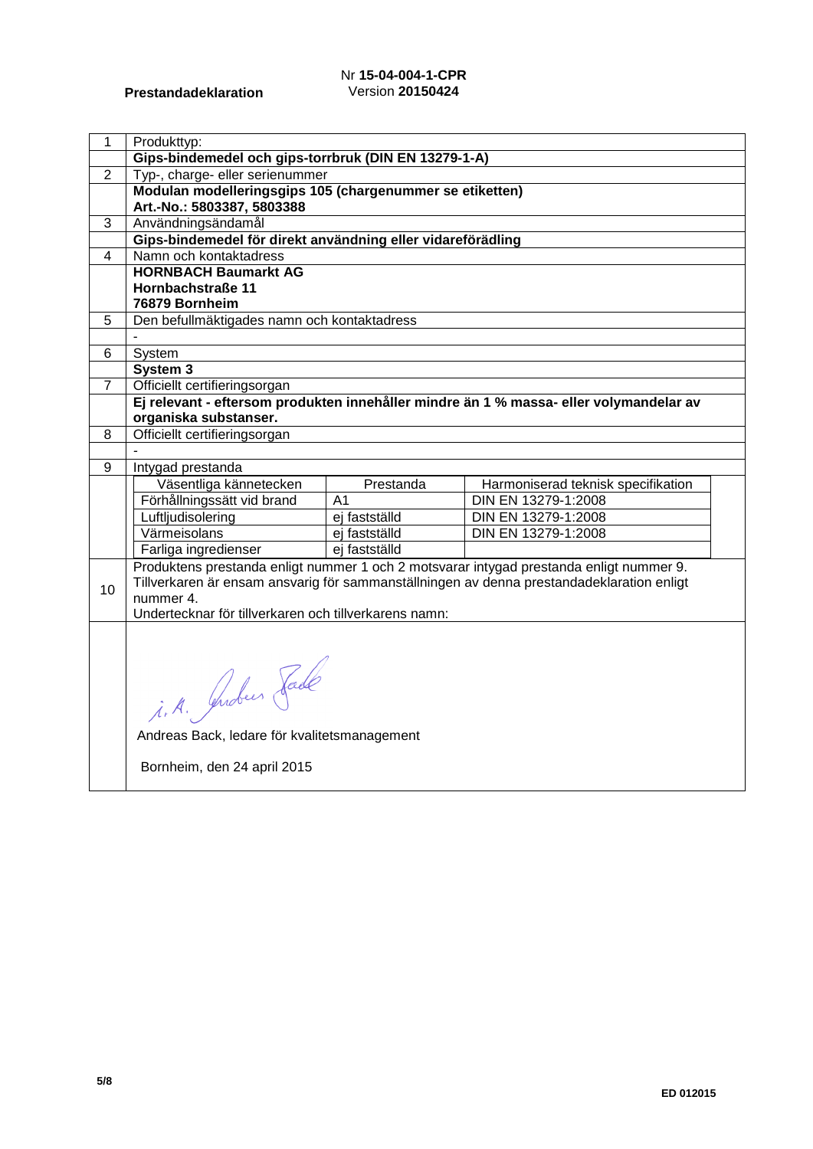## Nr **15-04-004-1-CPR** Version **20150424**

| $\mathbf{1}$   | Produkttyp:                                                                       |                                |                                                                                           |  |
|----------------|-----------------------------------------------------------------------------------|--------------------------------|-------------------------------------------------------------------------------------------|--|
|                | Gips-bindemedel och gips-torrbruk (DIN EN 13279-1-A)                              |                                |                                                                                           |  |
| $\overline{2}$ | Typ-, charge- eller serienummer                                                   |                                |                                                                                           |  |
|                | Modulan modelleringsgips 105 (chargenummer se etiketten)                          |                                |                                                                                           |  |
| $\overline{3}$ | Art.-No.: 5803387, 5803388                                                        |                                |                                                                                           |  |
|                | Användningsändamål<br>Gips-bindemedel för direkt användning eller vidareförädling |                                |                                                                                           |  |
| $\overline{4}$ | Namn och kontaktadress                                                            |                                |                                                                                           |  |
|                | <b>HORNBACH Baumarkt AG</b>                                                       |                                |                                                                                           |  |
|                | Hornbachstraße 11                                                                 |                                |                                                                                           |  |
|                | 76879 Bornheim                                                                    |                                |                                                                                           |  |
| 5              | Den befullmäktigades namn och kontaktadress                                       |                                |                                                                                           |  |
|                |                                                                                   |                                |                                                                                           |  |
| 6              | System                                                                            |                                |                                                                                           |  |
|                | System 3                                                                          |                                |                                                                                           |  |
| 7              | Officiellt certifieringsorgan                                                     |                                |                                                                                           |  |
|                |                                                                                   |                                | Ej relevant - eftersom produkten innehåller mindre än 1 % massa- eller volymandelar av    |  |
|                | organiska substanser.                                                             |                                |                                                                                           |  |
| 8              | Officiellt certifieringsorgan                                                     |                                |                                                                                           |  |
|                |                                                                                   |                                |                                                                                           |  |
| 9              | Intygad prestanda                                                                 |                                |                                                                                           |  |
|                | Väsentliga kännetecken                                                            | Prestanda                      | Harmoniserad teknisk specifikation                                                        |  |
|                | Förhållningssätt vid brand                                                        | A <sub>1</sub>                 | DIN EN 13279-1:2008                                                                       |  |
|                | Luftljudisolering<br>Värmeisolans                                                 | ej fastställd<br>ej fastställd | DIN EN 13279-1:2008<br>DIN EN 13279-1:2008                                                |  |
|                | Farliga ingredienser                                                              | ej fastställd                  |                                                                                           |  |
|                |                                                                                   |                                | Produktens prestanda enligt nummer 1 och 2 motsvarar intygad prestanda enligt nummer 9.   |  |
|                |                                                                                   |                                | Tillverkaren är ensam ansvarig för sammanställningen av denna prestandadeklaration enligt |  |
| 10             | nummer 4.                                                                         |                                |                                                                                           |  |
|                | Undertecknar för tillverkaren och tillverkarens namn:                             |                                |                                                                                           |  |
|                |                                                                                   |                                |                                                                                           |  |
|                |                                                                                   |                                |                                                                                           |  |
|                |                                                                                   |                                |                                                                                           |  |
|                |                                                                                   |                                |                                                                                           |  |
|                | i.A. Guden Fade                                                                   |                                |                                                                                           |  |
|                |                                                                                   |                                |                                                                                           |  |
|                | Andreas Back, ledare för kvalitetsmanagement                                      |                                |                                                                                           |  |
|                | Bornheim, den 24 april 2015                                                       |                                |                                                                                           |  |
|                |                                                                                   |                                |                                                                                           |  |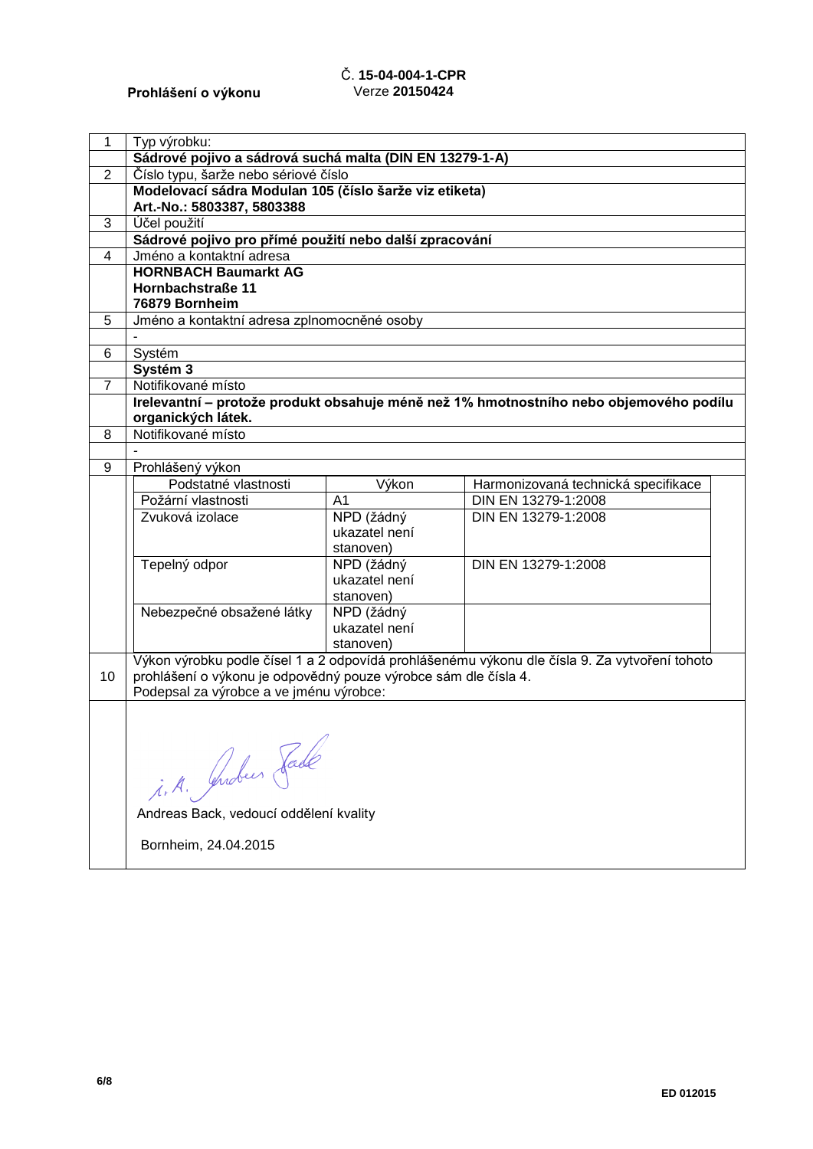# Č. **15-04-004-1-CPR** Verze **20150424**

| 1              | Typ výrobku:                                                    |                |                                                                                               |  |  |
|----------------|-----------------------------------------------------------------|----------------|-----------------------------------------------------------------------------------------------|--|--|
|                | Sádrové pojivo a sádrová suchá malta (DIN EN 13279-1-A)         |                |                                                                                               |  |  |
| $\overline{2}$ | Číslo typu, šarže nebo sériové číslo                            |                |                                                                                               |  |  |
|                | Modelovací sádra Modulan 105 (číslo šarže viz etiketa)          |                |                                                                                               |  |  |
|                | Art.-No.: 5803387, 5803388                                      |                |                                                                                               |  |  |
| 3              | Účel použití                                                    |                |                                                                                               |  |  |
|                | Sádrové pojivo pro přímé použití nebo další zpracování          |                |                                                                                               |  |  |
| $\overline{4}$ | Jméno a kontaktní adresa                                        |                |                                                                                               |  |  |
|                | <b>HORNBACH Baumarkt AG</b>                                     |                |                                                                                               |  |  |
|                | Hornbachstraße 11                                               |                |                                                                                               |  |  |
|                | 76879 Bornheim                                                  |                |                                                                                               |  |  |
| 5              | Jméno a kontaktní adresa zplnomocněné osoby                     |                |                                                                                               |  |  |
|                |                                                                 |                |                                                                                               |  |  |
| 6              | Systém                                                          |                |                                                                                               |  |  |
|                | Systém 3                                                        |                |                                                                                               |  |  |
| $\overline{7}$ | Notifikované místo                                              |                |                                                                                               |  |  |
|                |                                                                 |                | Irelevantní – protože produkt obsahuje méně než 1% hmotnostního nebo objemového podílu        |  |  |
|                | organických látek.<br>Notifikované místo                        |                |                                                                                               |  |  |
| 8              |                                                                 |                |                                                                                               |  |  |
| 9              | Prohlášený výkon                                                |                |                                                                                               |  |  |
|                | Podstatné vlastnosti                                            | Výkon          | Harmonizovaná technická specifikace                                                           |  |  |
|                | Požární vlastnosti                                              | A <sub>1</sub> | DIN EN 13279-1:2008                                                                           |  |  |
|                | Zvuková izolace                                                 | NPD (žádný     | DIN EN 13279-1:2008                                                                           |  |  |
|                |                                                                 | ukazatel není  |                                                                                               |  |  |
|                |                                                                 | stanoven)      |                                                                                               |  |  |
|                | Tepelný odpor                                                   | NPD (žádný     | DIN EN 13279-1:2008                                                                           |  |  |
|                |                                                                 | ukazatel není  |                                                                                               |  |  |
|                |                                                                 | stanoven)      |                                                                                               |  |  |
|                | Nebezpečné obsažené látky                                       | NPD (žádný     |                                                                                               |  |  |
|                |                                                                 | ukazatel není  |                                                                                               |  |  |
|                |                                                                 | stanoven)      |                                                                                               |  |  |
|                |                                                                 |                | Výkon výrobku podle čísel 1 a 2 odpovídá prohlášenému výkonu dle čísla 9. Za vytvoření tohoto |  |  |
| 10             | prohlášení o výkonu je odpovědný pouze výrobce sám dle čísla 4. |                |                                                                                               |  |  |
|                | Podepsal za výrobce a ve jménu výrobce:                         |                |                                                                                               |  |  |
|                |                                                                 |                |                                                                                               |  |  |
|                |                                                                 | ╱              |                                                                                               |  |  |
|                |                                                                 |                |                                                                                               |  |  |
|                | i. A. Grober Sade                                               |                |                                                                                               |  |  |
|                |                                                                 |                |                                                                                               |  |  |
|                |                                                                 |                |                                                                                               |  |  |
|                | Andreas Back, vedoucí oddělení kvality                          |                |                                                                                               |  |  |
|                | Bornheim, 24.04.2015                                            |                |                                                                                               |  |  |
|                |                                                                 |                |                                                                                               |  |  |
|                |                                                                 |                |                                                                                               |  |  |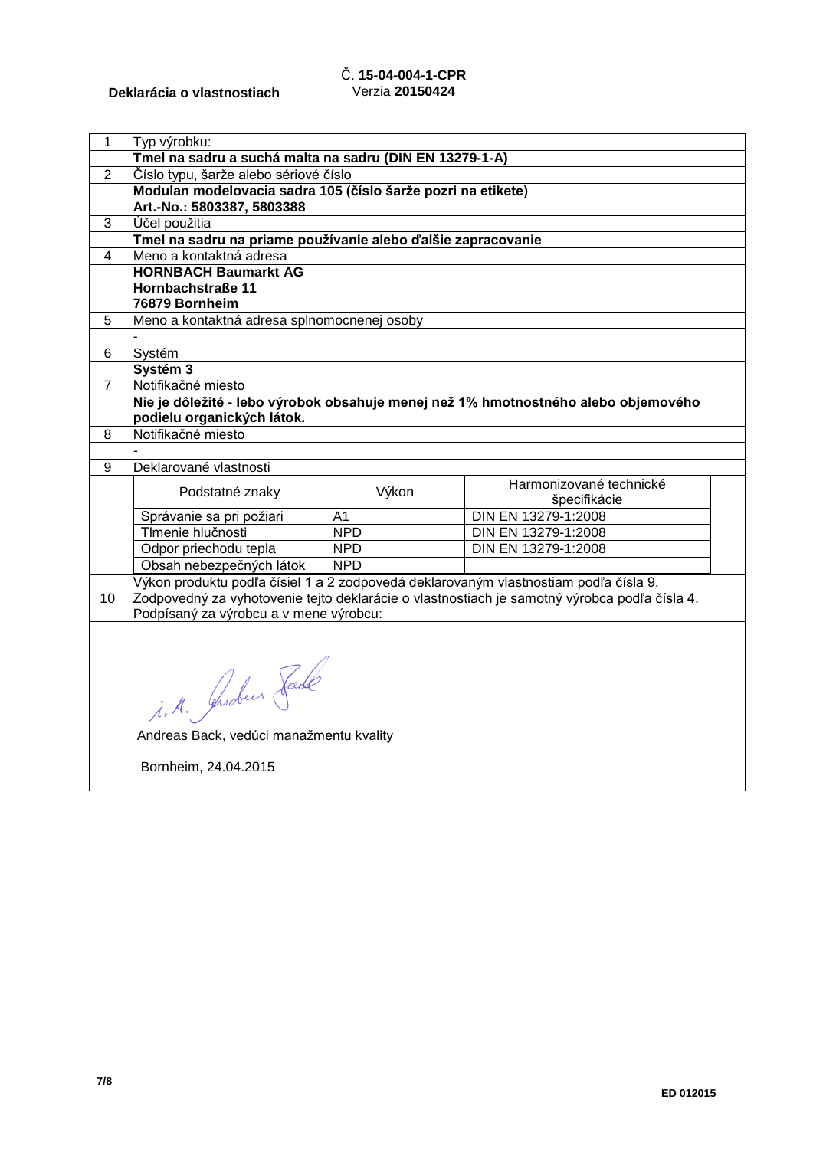# Č. **15-04-004-1-CPR** Verzia **20150424**

| 1              | Typ výrobku:                                                 |                  |                                                                                                                                                                                      |  |
|----------------|--------------------------------------------------------------|------------------|--------------------------------------------------------------------------------------------------------------------------------------------------------------------------------------|--|
|                | Tmel na sadru a suchá malta na sadru (DIN EN 13279-1-A)      |                  |                                                                                                                                                                                      |  |
| $\overline{2}$ | Číslo typu, šarže alebo sériové číslo                        |                  |                                                                                                                                                                                      |  |
|                | Modulan modelovacia sadra 105 (číslo šarže pozri na etikete) |                  |                                                                                                                                                                                      |  |
|                | Art.-No.: 5803387, 5803388                                   |                  |                                                                                                                                                                                      |  |
| 3              | Účel použitia                                                |                  |                                                                                                                                                                                      |  |
|                | Tmel na sadru na priame používanie alebo ďalšie zapracovanie |                  |                                                                                                                                                                                      |  |
| 4              | Meno a kontaktná adresa                                      |                  |                                                                                                                                                                                      |  |
|                | <b>HORNBACH Baumarkt AG</b>                                  |                  |                                                                                                                                                                                      |  |
|                | Hornbachstraße 11                                            |                  |                                                                                                                                                                                      |  |
|                | 76879 Bornheim                                               |                  |                                                                                                                                                                                      |  |
| 5              | Meno a kontaktná adresa splnomocnenej osoby                  |                  |                                                                                                                                                                                      |  |
|                |                                                              |                  |                                                                                                                                                                                      |  |
| 6              | Systém                                                       |                  |                                                                                                                                                                                      |  |
|                | Systém 3                                                     |                  |                                                                                                                                                                                      |  |
| 7              | Notifikačné miesto                                           |                  |                                                                                                                                                                                      |  |
|                |                                                              |                  | Nie je dôležité - lebo výrobok obsahuje menej než 1% hmotnostného alebo objemového                                                                                                   |  |
|                | podielu organických látok.                                   |                  |                                                                                                                                                                                      |  |
| 8              | Notifikačné miesto                                           |                  |                                                                                                                                                                                      |  |
|                |                                                              |                  |                                                                                                                                                                                      |  |
| 9              | Deklarované vlastnosti                                       |                  |                                                                                                                                                                                      |  |
|                | Podstatné znaky                                              | Výkon            | Harmonizované technické                                                                                                                                                              |  |
|                |                                                              |                  | špecifikácie                                                                                                                                                                         |  |
|                | Správanie sa pri požiari<br>TImenie hlučnosti                | A1<br><b>NPD</b> | DIN EN 13279-1:2008<br>DIN EN 13279-1:2008                                                                                                                                           |  |
|                |                                                              | <b>NPD</b>       | DIN EN 13279-1:2008                                                                                                                                                                  |  |
|                | Odpor priechodu tepla                                        | <b>NPD</b>       |                                                                                                                                                                                      |  |
|                | Obsah nebezpečných látok                                     |                  |                                                                                                                                                                                      |  |
| 10             |                                                              |                  | Výkon produktu podľa čísiel 1 a 2 zodpovedá deklarovaným vlastnostiam podľa čísla 9.<br>Zodpovedný za vyhotovenie tejto deklarácie o vlastnostiach je samotný výrobca podľa čísla 4. |  |
|                | Podpísaný za výrobcu a v mene výrobcu:                       |                  |                                                                                                                                                                                      |  |
|                |                                                              |                  |                                                                                                                                                                                      |  |
|                |                                                              |                  |                                                                                                                                                                                      |  |
|                |                                                              |                  |                                                                                                                                                                                      |  |
|                |                                                              |                  |                                                                                                                                                                                      |  |
|                |                                                              |                  |                                                                                                                                                                                      |  |
|                | i. A. Juden Fade                                             |                  |                                                                                                                                                                                      |  |
|                |                                                              |                  |                                                                                                                                                                                      |  |
|                | Andreas Back, vedúci manažmentu kvality                      |                  |                                                                                                                                                                                      |  |
|                | Bornheim, 24.04.2015                                         |                  |                                                                                                                                                                                      |  |
|                |                                                              |                  |                                                                                                                                                                                      |  |
|                |                                                              |                  |                                                                                                                                                                                      |  |